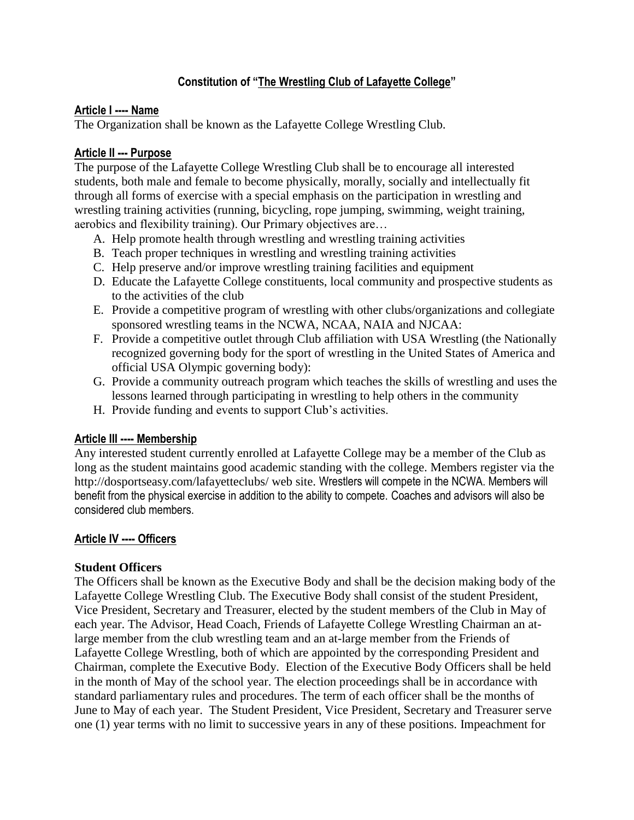# **Constitution of "The Wrestling Club of Lafayette College"**

### **Article I ---- Name**

The Organization shall be known as the Lafayette College Wrestling Club.

### **Article II --- Purpose**

The purpose of the Lafayette College Wrestling Club shall be to encourage all interested students, both male and female to become physically, morally, socially and intellectually fit through all forms of exercise with a special emphasis on the participation in wrestling and wrestling training activities (running, bicycling, rope jumping, swimming, weight training, aerobics and flexibility training). Our Primary objectives are…

- A. Help promote health through wrestling and wrestling training activities
- B. Teach proper techniques in wrestling and wrestling training activities
- C. Help preserve and/or improve wrestling training facilities and equipment
- D. Educate the Lafayette College constituents, local community and prospective students as to the activities of the club
- E. Provide a competitive program of wrestling with other clubs/organizations and collegiate sponsored wrestling teams in the NCWA, NCAA, NAIA and NJCAA:
- F. Provide a competitive outlet through Club affiliation with USA Wrestling (the Nationally recognized governing body for the sport of wrestling in the United States of America and official USA Olympic governing body):
- G. Provide a community outreach program which teaches the skills of wrestling and uses the lessons learned through participating in wrestling to help others in the community
- H. Provide funding and events to support Club's activities.

### **Article III ---- Membership**

Any interested student currently enrolled at Lafayette College may be a member of the Club as long as the student maintains good academic standing with the college. Members register via the http://dosportseasy.com/lafayetteclubs/ web site. Wrestlers will compete in the NCWA. Members will benefit from the physical exercise in addition to the ability to compete. Coaches and advisors will also be considered club members.

### **Article IV ---- Officers**

### **Student Officers**

The Officers shall be known as the Executive Body and shall be the decision making body of the Lafayette College Wrestling Club. The Executive Body shall consist of the student President, Vice President, Secretary and Treasurer, elected by the student members of the Club in May of each year. The Advisor, Head Coach, Friends of Lafayette College Wrestling Chairman an atlarge member from the club wrestling team and an at-large member from the Friends of Lafayette College Wrestling, both of which are appointed by the corresponding President and Chairman, complete the Executive Body. Election of the Executive Body Officers shall be held in the month of May of the school year. The election proceedings shall be in accordance with standard parliamentary rules and procedures. The term of each officer shall be the months of June to May of each year. The Student President, Vice President, Secretary and Treasurer serve one (1) year terms with no limit to successive years in any of these positions. Impeachment for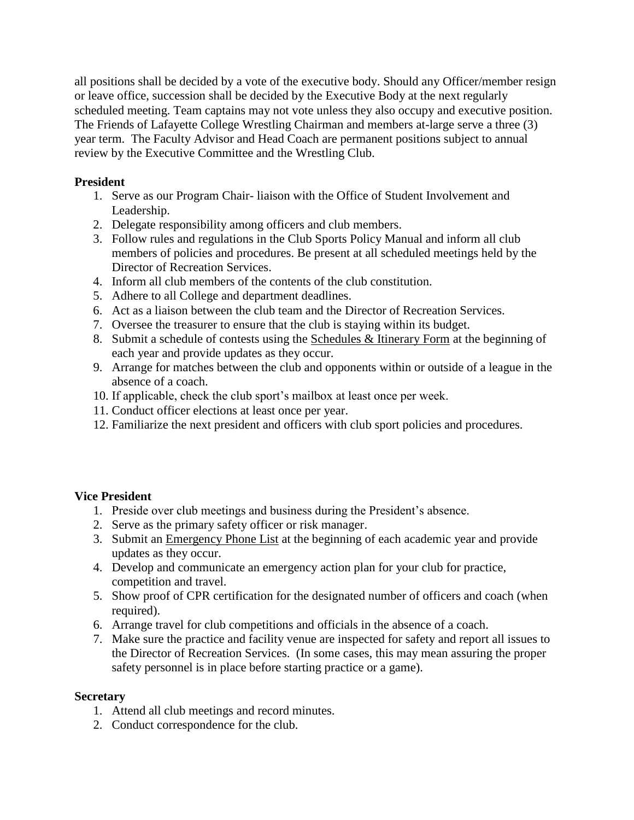all positions shall be decided by a vote of the executive body. Should any Officer/member resign or leave office, succession shall be decided by the Executive Body at the next regularly scheduled meeting. Team captains may not vote unless they also occupy and executive position. The Friends of Lafayette College Wrestling Chairman and members at-large serve a three (3) year term. The Faculty Advisor and Head Coach are permanent positions subject to annual review by the Executive Committee and the Wrestling Club.

## **President**

- 1. Serve as our Program Chair- liaison with the Office of Student Involvement and Leadership.
- 2. Delegate responsibility among officers and club members.
- 3. Follow rules and regulations in the Club Sports Policy Manual and inform all club members of policies and procedures. Be present at all scheduled meetings held by the Director of Recreation Services.
- 4. Inform all club members of the contents of the club constitution.
- 5. Adhere to all College and department deadlines.
- 6. Act as a liaison between the club team and the Director of Recreation Services.
- 7. Oversee the treasurer to ensure that the club is staying within its budget.
- 8. Submit a schedule of contests using the Schedules & Itinerary Form at the beginning of each year and provide updates as they occur.
- 9. Arrange for matches between the club and opponents within or outside of a league in the absence of a coach.
- 10. If applicable, check the club sport's mailbox at least once per week.
- 11. Conduct officer elections at least once per year.
- 12. Familiarize the next president and officers with club sport policies and procedures.

# **Vice President**

- 1. Preside over club meetings and business during the President's absence.
- 2. Serve as the primary safety officer or risk manager.
- 3. Submit an Emergency Phone List at the beginning of each academic year and provide updates as they occur.
- 4. Develop and communicate an emergency action plan for your club for practice, competition and travel.
- 5. Show proof of CPR certification for the designated number of officers and coach (when required).
- 6. Arrange travel for club competitions and officials in the absence of a coach.
- 7. Make sure the practice and facility venue are inspected for safety and report all issues to the Director of Recreation Services. (In some cases, this may mean assuring the proper safety personnel is in place before starting practice or a game).

# **Secretary**

- 1. Attend all club meetings and record minutes.
- 2. Conduct correspondence for the club.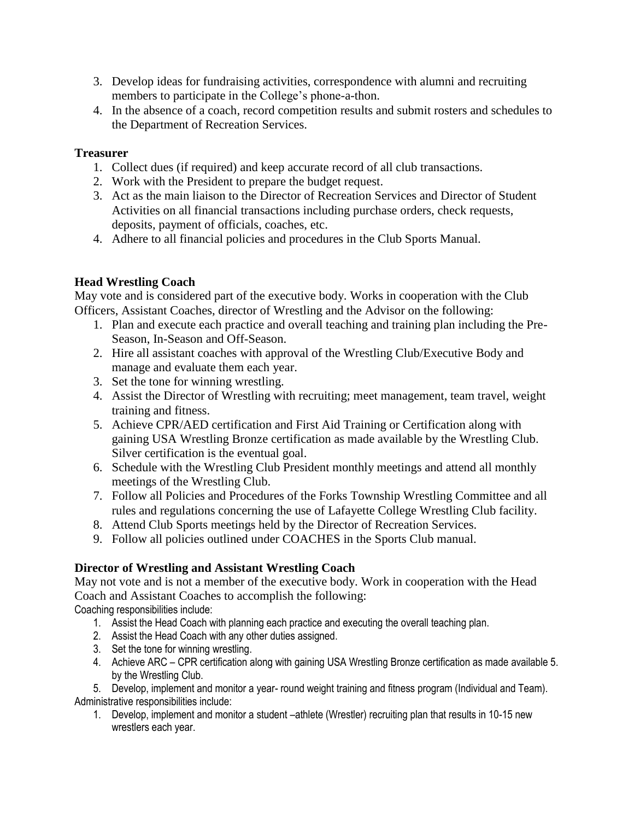- 3. Develop ideas for fundraising activities, correspondence with alumni and recruiting members to participate in the College's phone-a-thon.
- 4. In the absence of a coach, record competition results and submit rosters and schedules to the Department of Recreation Services.

## **Treasurer**

- 1. Collect dues (if required) and keep accurate record of all club transactions.
- 2. Work with the President to prepare the budget request.
- 3. Act as the main liaison to the Director of Recreation Services and Director of Student Activities on all financial transactions including purchase orders, check requests, deposits, payment of officials, coaches, etc.
- 4. Adhere to all financial policies and procedures in the Club Sports Manual.

# **Head Wrestling Coach**

May vote and is considered part of the executive body. Works in cooperation with the Club Officers, Assistant Coaches, director of Wrestling and the Advisor on the following:

- 1. Plan and execute each practice and overall teaching and training plan including the Pre-Season, In-Season and Off-Season.
- 2. Hire all assistant coaches with approval of the Wrestling Club/Executive Body and manage and evaluate them each year.
- 3. Set the tone for winning wrestling.
- 4. Assist the Director of Wrestling with recruiting; meet management, team travel, weight training and fitness.
- 5. Achieve CPR/AED certification and First Aid Training or Certification along with gaining USA Wrestling Bronze certification as made available by the Wrestling Club. Silver certification is the eventual goal.
- 6. Schedule with the Wrestling Club President monthly meetings and attend all monthly meetings of the Wrestling Club.
- 7. Follow all Policies and Procedures of the Forks Township Wrestling Committee and all rules and regulations concerning the use of Lafayette College Wrestling Club facility.
- 8. Attend Club Sports meetings held by the Director of Recreation Services.
- 9. Follow all policies outlined under COACHES in the Sports Club manual.

# **Director of Wrestling and Assistant Wrestling Coach**

May not vote and is not a member of the executive body. Work in cooperation with the Head Coach and Assistant Coaches to accomplish the following:

Coaching responsibilities include:

- 1. Assist the Head Coach with planning each practice and executing the overall teaching plan.
- 2. Assist the Head Coach with any other duties assigned.
- 3. Set the tone for winning wrestling.
- 4. Achieve ARC CPR certification along with gaining USA Wrestling Bronze certification as made available 5. by the Wrestling Club.

5. Develop, implement and monitor a year- round weight training and fitness program (Individual and Team). Administrative responsibilities include:

1. Develop, implement and monitor a student –athlete (Wrestler) recruiting plan that results in 10-15 new wrestlers each year.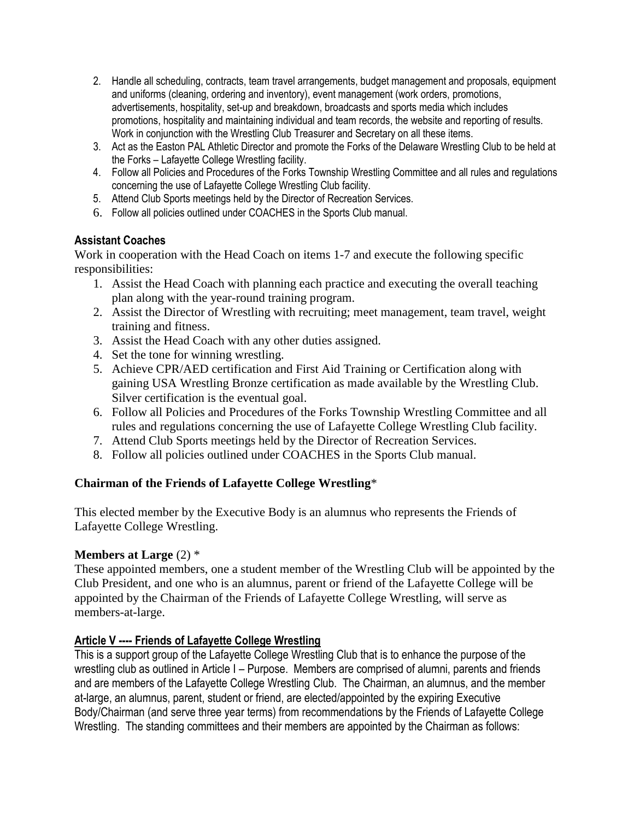- 2. Handle all scheduling, contracts, team travel arrangements, budget management and proposals, equipment and uniforms (cleaning, ordering and inventory), event management (work orders, promotions, advertisements, hospitality, set-up and breakdown, broadcasts and sports media which includes promotions, hospitality and maintaining individual and team records, the website and reporting of results. Work in conjunction with the Wrestling Club Treasurer and Secretary on all these items.
- 3. Act as the Easton PAL Athletic Director and promote the Forks of the Delaware Wrestling Club to be held at the Forks – Lafayette College Wrestling facility.
- 4. Follow all Policies and Procedures of the Forks Township Wrestling Committee and all rules and regulations concerning the use of Lafayette College Wrestling Club facility.
- 5. Attend Club Sports meetings held by the Director of Recreation Services.
- 6. Follow all policies outlined under COACHES in the Sports Club manual.

### **Assistant Coaches**

Work in cooperation with the Head Coach on items 1-7 and execute the following specific responsibilities:

- 1. Assist the Head Coach with planning each practice and executing the overall teaching plan along with the year-round training program.
- 2. Assist the Director of Wrestling with recruiting; meet management, team travel, weight training and fitness.
- 3. Assist the Head Coach with any other duties assigned.
- 4. Set the tone for winning wrestling.
- 5. Achieve CPR/AED certification and First Aid Training or Certification along with gaining USA Wrestling Bronze certification as made available by the Wrestling Club. Silver certification is the eventual goal.
- 6. Follow all Policies and Procedures of the Forks Township Wrestling Committee and all rules and regulations concerning the use of Lafayette College Wrestling Club facility.
- 7. Attend Club Sports meetings held by the Director of Recreation Services.
- 8. Follow all policies outlined under COACHES in the Sports Club manual.

## **Chairman of the Friends of Lafayette College Wrestling**\*

This elected member by the Executive Body is an alumnus who represents the Friends of Lafayette College Wrestling.

### **Members at Large** (2) \*

These appointed members, one a student member of the Wrestling Club will be appointed by the Club President, and one who is an alumnus, parent or friend of the Lafayette College will be appointed by the Chairman of the Friends of Lafayette College Wrestling, will serve as members-at-large.

### **Article V ---- Friends of Lafayette College Wrestling**

This is a support group of the Lafayette College Wrestling Club that is to enhance the purpose of the wrestling club as outlined in Article I – Purpose. Members are comprised of alumni, parents and friends and are members of the Lafayette College Wrestling Club. The Chairman, an alumnus, and the member at-large, an alumnus, parent, student or friend, are elected/appointed by the expiring Executive Body/Chairman (and serve three year terms) from recommendations by the Friends of Lafayette College Wrestling. The standing committees and their members are appointed by the Chairman as follows: